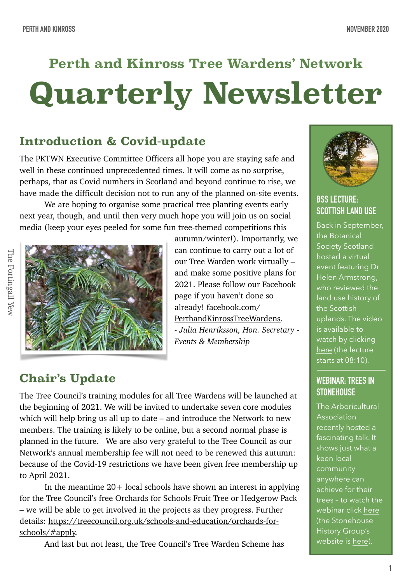# **Perth and Kinross Tree Wardens' Network Quarterly Newsletter**

## **Introduction & Covid-update**

The PKTWN Executive Committee Officers all hope you are staying safe and well in these continued unprecedented times. It will come as no surprise, perhaps, that as Covid numbers in Scotland and beyond continue to rise, we have made the difficult decision not to run any of the planned on-site events.

 We are hoping to organise some practical tree planting events early next year, though, and until then very much hope you will join us on social media (keep your eyes peeled for some fun tree-themed competitions this



autumn/winter!). Importantly, we can continue to carry out a lot of our Tree Warden work virtually – and make some positive plans for 2021. Please follow our Facebook page if you haven't done so already! [facebook.com/](http://facebook.com/PerthandKinrossTreeWardens) [PerthandKinrossTreeWardens](http://facebook.com/PerthandKinrossTreeWardens). *- Julia Henriksson, Hon. Secretary - Events & Membership* 

## **Chair's Update**

The Tree Council's training modules for all Tree Wardens will be launched at the beginning of 2021. We will be invited to undertake seven core modules which will help bring us all up to date – and introduce the Network to new members. The training is likely to be online, but a second normal phase is planned in the future. We are also very grateful to the Tree Council as our Network's annual membership fee will not need to be renewed this autumn: because of the Covid-19 restrictions we have been given free membership up to April 2021.

In the meantime  $20+$  local schools have shown an interest in applying for the Tree Council's free Orchards for Schools Fruit Tree or Hedgerow Pack – we will be able to get involved in the projects as they progress. Further details: [https://treecouncil.org.uk/schools-and-education/orchards-for](https://treecouncil.org.uk/schools-and-education/orchards-for-schools/#apply)[schools/#apply.](https://treecouncil.org.uk/schools-and-education/orchards-for-schools/#apply) 

And last but not least, the Tree Council's Tree Warden Scheme has



#### **BSS LECTURE: SCOTTISH LAND USE**

Back in September, the Botanical Society Scotland hosted a virtual event featuring Dr Helen Armstrong, who reviewed the land use history of the Scottish uplands. The video is available to watch by clicking [here](https://teams.microsoft.com/l/meetup-join/19:meeting_MzU5ODgzN2MtZTVjMS00NGJjLWEzYWUtMzNkZWM1NzdiMzlh@thread.v2/0?context=%7B%22Tid%22:%22bb63bb00-175e-46b7-b7b3-bc74158e4fd4%22,%22Oid%22:%22824033f3-5e3a-484c-8ffc-e6b0beacebfe%22,%22IsBroadcastMeeting%22:true%7D) (the lecture starts at 08:10).

#### **WEBINAR: TREES IN STONEHOUSE**

The Arboricultural **Association** recently hosted a fascinating talk. It shows just what a keen local community anywhere can achieve for their trees – to watch the webinar click [here](https://www.youtube.com/watch?v=93_W6LOk0-k&feature=youtu.be) (the Stonehouse History Group's website is [here\)](https://stonehousehistorygroup.org.uk).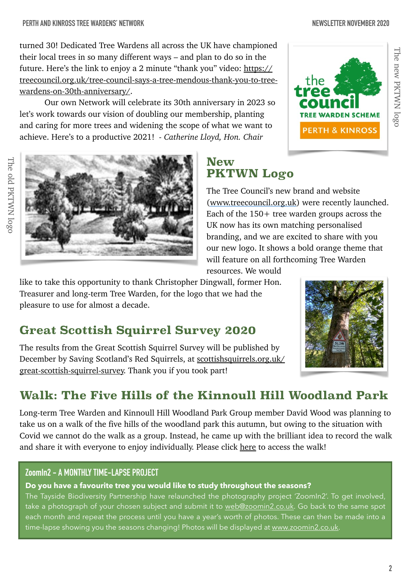turned 30! Dedicated Tree Wardens all across the UK have championed their local trees in so many different ways – and plan to do so in the future. Here's the link to enjoy a 2 minute "thank you" video: [https://](https://treecouncil.org.uk/tree-council-says-a-tree-mendous-thank-you-to-tree-wardens-on-30th-anniversary/) [treecouncil.org.uk/tree-council-says-a-tree-mendous-thank-you-to-tree](https://treecouncil.org.uk/tree-council-says-a-tree-mendous-thank-you-to-tree-wardens-on-30th-anniversary/)[wardens-on-30th-anniversary/](https://treecouncil.org.uk/tree-council-says-a-tree-mendous-thank-you-to-tree-wardens-on-30th-anniversary/).

 Our own Network will celebrate its 30th anniversary in 2023 so let's work towards our vision of doubling our membership, planting and caring for more trees and widening the scope of what we want to achieve. Here's to a productive 2021! *- Catherine Lloyd, Hon. Chair* 

## **New PKTWN Logo**

The Tree Council's new brand and website [\(www.treecouncil.org.uk\)](http://www.treecouncil.org.uk/) were recently launched. Each of the 150+ tree warden groups across the UK now has its own matching personalised branding, and we are excited to share with you our new logo. It shows a bold orange theme that will feature on all forthcoming Tree Warden

resources. We would

like to take this opportunity to thank Christopher Dingwall, former Hon. Treasurer and long-term Tree Warden, for the logo that we had the pleasure to use for almost a decade.

# **Great Scottish Squirrel Survey 2020**

The results from the Great Scottish Squirrel Survey will be published by December by Saving Scotland's Red Squirrels, at [scottishsquirrels.org.uk/](http://scottishsquirrels.org.uk/great-scottish-squirrel-survey) [great-scottish-squirrel-survey.](http://scottishsquirrels.org.uk/great-scottish-squirrel-survey) Thank you if you took part!

# **Walk: The Five Hills of the Kinnoull Hill Woodland Park**

Long-term Tree Warden and Kinnoull Hill Woodland Park Group member David Wood was planning to take us on a walk of the five hills of the woodland park this autumn, but owing to the situation with Covid we cannot do the walk as a group. Instead, he came up with the brilliant idea to record the walk and share it with everyone to enjoy individually. Please click [here](https://connect.garmin.com/modern/activity/5767814251/share/0?lang=en&fbclid=IwAR2063-ihcOftWKX6P6QdrqCFxADA7UQ0N3W9R_KjOd-dfD-raQKKkSjZME) to access the walk!

#### **ZoomIn2 - A MONTHLY TIME-LAPSE PROJECT**

#### **Do you have a favourite tree you would like to study throughout the seasons?**

The Tayside Biodiversity Partnership have relaunched the photography project 'ZoomIn2'. To get involved, take a photograph of your chosen subject and submit it to [web@zoomin2.co.uk](mailto:web@zoomin2.co.uk). Go back to the same spot each month and repeat the process until you have a year's worth of photos. These can then be made into a time-lapse showing you the seasons changing! Photos will be displayed at [www.zoomin2.co.uk.](http://www.zoomin2.co.uk)







The new PKTWN logo The new PKTWN logo